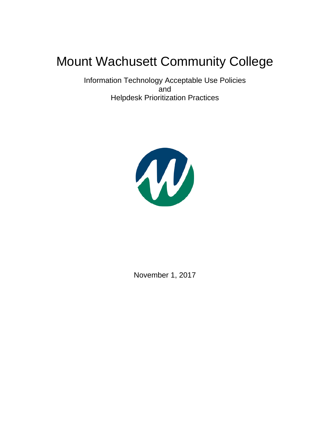# Mount Wachusett Community College

Information Technology Acceptable Use Policies and Helpdesk Prioritization Practices



November 1, 2017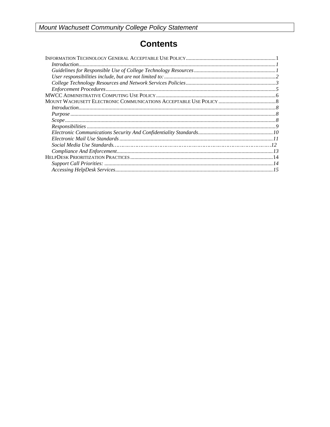# **Contents**

| Introduction 1 |  |  |
|----------------|--|--|
|                |  |  |
|                |  |  |
|                |  |  |
|                |  |  |
|                |  |  |
|                |  |  |
|                |  |  |
|                |  |  |
|                |  |  |
|                |  |  |
|                |  |  |
|                |  |  |
|                |  |  |
|                |  |  |
|                |  |  |
|                |  |  |
|                |  |  |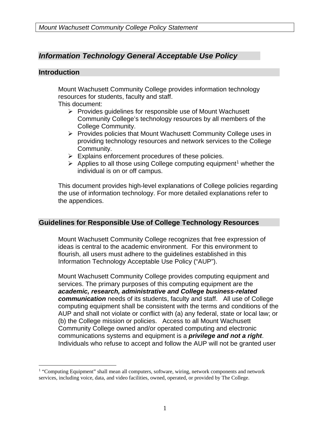## *Information Technology General Acceptable Use Policy*

#### **Introduction**

 $\overline{a}$ 

Mount Wachusett Community College provides information technology resources for students, faculty and staff.

This document:

- $\triangleright$  Provides guidelines for responsible use of Mount Wachusett Community College's technology resources by all members of the College Community.
- ▶ Provides policies that Mount Wachusett Community College uses in providing technology resources and network services to the College Community.
- $\triangleright$  Explains enforcement procedures of these policies.
- $\triangleright$  Applies to all those using College computing equipment<sup>1</sup> whether the individual is on or off campus.

This document provides high-level explanations of College policies regarding the use of information technology. For more detailed explanations refer to the appendices.

#### **Guidelines for Responsible Use of College Technology Resources**

Mount Wachusett Community College recognizes that free expression of ideas is central to the academic environment. For this environment to flourish, all users must adhere to the guidelines established in this Information Technology Acceptable Use Policy ("AUP").

Mount Wachusett Community College provides computing equipment and services. The primary purposes of this computing equipment are the *academic, research, administrative and College business-related communication* needs of its students, faculty and staff. All use of College computing equipment shall be consistent with the terms and conditions of the AUP and shall not violate or conflict with (a) any federal, state or local law; or (b) the College mission or policies. Access to all Mount Wachusett Community College owned and/or operated computing and electronic communications systems and equipment is a *privilege and not a right*. Individuals who refuse to accept and follow the AUP will not be granted user

<sup>&</sup>lt;sup>1</sup> "Computing Equipment" shall mean all computers, software, wiring, network components and network services, including voice, data, and video facilities, owned, operated, or provided by The College.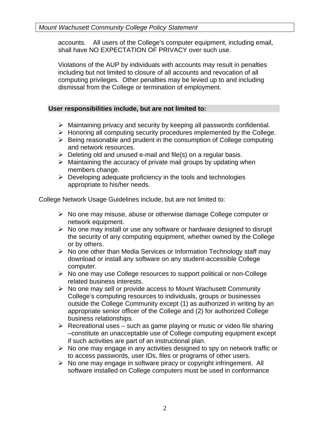accounts. All users of the College's computer equipment, including email, shall have NO EXPECTATION OF PRIVACY over such use.

Violations of the AUP by individuals with accounts may result in penalties including but not limited to closure of all accounts and revocation of all computing privileges. Other penalties may be levied up to and including dismissal from the College or termination of employment.

#### **User responsibilities include, but are not limited to:**

- $\triangleright$  Maintaining privacy and security by keeping all passwords confidential.
- $\triangleright$  Honoring all computing security procedures implemented by the College.
- $\triangleright$  Being reasonable and prudent in the consumption of College computing and network resources.
- $\triangleright$  Deleting old and unused e-mail and file(s) on a regular basis.
- $\triangleright$  Maintaining the accuracy of private mail groups by updating when members change.
- $\triangleright$  Developing adequate proficiency in the tools and technologies appropriate to his/her needs.

College Network Usage Guidelines include, but are not limited to:

- $\triangleright$  No one may misuse, abuse or otherwise damage College computer or network equipment.
- $\triangleright$  No one may install or use any software or hardware designed to disrupt the security of any computing equipment, whether owned by the College or by others.
- $\triangleright$  No one other than Media Services or Information Technology staff may download or install any software on any student-accessible College computer.
- $\triangleright$  No one may use College resources to support political or non-College related business interests.
- $\triangleright$  No one may sell or provide access to Mount Wachusett Community College's computing resources to individuals, groups or businesses outside the College Community except (1) as authorized in writing by an appropriate senior officer of the College and (2) for authorized College business relationships.
- $\triangleright$  Recreational uses such as game playing or music or video file sharing –constitute an unacceptable use of College computing equipment except if such activities are part of an instructional plan.
- $\triangleright$  No one may engage in any activities designed to spy on network traffic or to access passwords, user IDs, files or programs of other users.
- $\triangleright$  No one may engage in software piracy or copyright infringement. All software installed on College computers must be used in conformance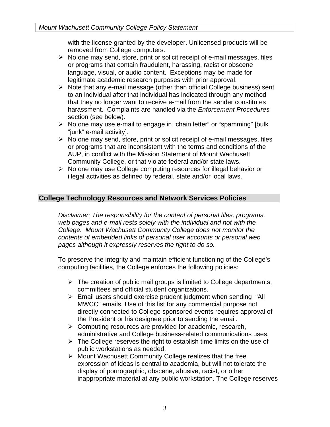with the license granted by the developer. Unlicensed products will be removed from College computers.

- $\triangleright$  No one may send, store, print or solicit receipt of e-mail messages, files or programs that contain fraudulent, harassing, racist or obscene language, visual, or audio content. Exceptions may be made for legitimate academic research purposes with prior approval.
- $\triangleright$  Note that any e-mail message (other than official College business) sent to an individual after that individual has indicated through any method that they no longer want to receive e-mail from the sender constitutes harassment. Complaints are handled via the *Enforcement Procedures*  section (see below).
- $\triangleright$  No one may use e-mail to engage in "chain letter" or "spamming" [bulk "junk" e-mail activity].
- $\triangleright$  No one may send, store, print or solicit receipt of e-mail messages, files or programs that are inconsistent with the terms and conditions of the AUP, in conflict with the Mission Statement of Mount Wachusett Community College, or that violate federal and/or state laws.
- $\triangleright$  No one may use College computing resources for illegal behavior or illegal activities as defined by federal, state and/or local laws.

#### **College Technology Resources and Network Services Policies**

*Disclaimer: The responsibility for the content of personal files, programs, web pages and e-mail rests solely with the individual and not with the College. Mount Wachusett Community College does not monitor the contents of embedded links of personal user accounts or personal web pages although it expressly reserves the right to do so.* 

To preserve the integrity and maintain efficient functioning of the College's computing facilities, the College enforces the following policies:

- $\triangleright$  The creation of public mail groups is limited to College departments, committees and official student organizations.
- $\triangleright$  Email users should exercise prudent judgment when sending "All MWCC" emails. Use of this list for any commercial purpose not directly connected to College sponsored events requires approval of the President or his designee prior to sending the email.
- $\triangleright$  Computing resources are provided for academic, research, administrative and College business-related communications uses.
- $\triangleright$  The College reserves the right to establish time limits on the use of public workstations as needed.
- $\triangleright$  Mount Wachusett Community College realizes that the free expression of ideas is central to academia, but will not tolerate the display of pornographic, obscene, abusive, racist, or other inappropriate material at any public workstation. The College reserves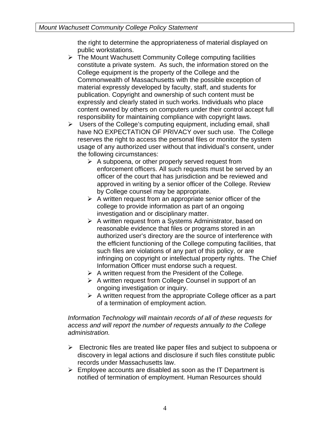the right to determine the appropriateness of material displayed on public workstations.

- $\triangleright$  The Mount Wachusett Community College computing facilities constitute a private system. As such, the information stored on the College equipment is the property of the College and the Commonwealth of Massachusetts with the possible exception of material expressly developed by faculty, staff, and students for publication. Copyright and ownership of such content must be expressly and clearly stated in such works. Individuals who place content owned by others on computers under their control accept full responsibility for maintaining compliance with copyright laws.
- $\triangleright$  Users of the College's computing equipment, including email, shall have NO EXPECTATION OF PRIVACY over such use. The College reserves the right to access the personal files or monitor the system usage of any authorized user without that individual's consent, under the following circumstances:
	- $\triangleright$  A subpoena, or other properly served request from enforcement officers. All such requests must be served by an officer of the court that has jurisdiction and be reviewed and approved in writing by a senior officer of the College. Review by College counsel may be appropriate.
	- $\triangleright$  A written request from an appropriate senior officer of the college to provide information as part of an ongoing investigation and or disciplinary matter.
	- $\triangleright$  A written request from a Systems Administrator, based on reasonable evidence that files or programs stored in an authorized user's directory are the source of interference with the efficient functioning of the College computing facilities, that such files are violations of any part of this policy, or are infringing on copyright or intellectual property rights. The Chief Information Officer must endorse such a request.
	- $\triangleright$  A written request from the President of the College.
	- $\triangleright$  A written request from College Counsel in support of an ongoing investigation or inquiry.
	- $\triangleright$  A written request from the appropriate College officer as a part of a termination of employment action.

#### *Information Technology will maintain records of all of these requests for access and will report the number of requests annually to the College administration.*

- $\triangleright$  Electronic files are treated like paper files and subject to subpoena or discovery in legal actions and disclosure if such files constitute public records under Massachusetts law.
- $\triangleright$  Employee accounts are disabled as soon as the IT Department is notified of termination of employment. Human Resources should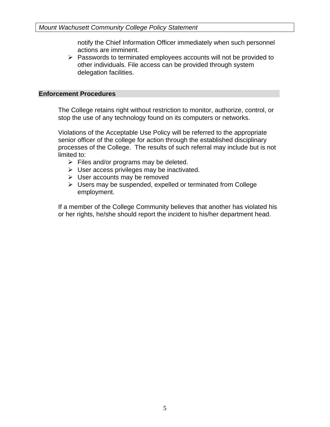notify the Chief Information Officer immediately when such personnel actions are imminent.

 $\triangleright$  Passwords to terminated employees accounts will not be provided to other individuals. File access can be provided through system delegation facilities.

#### **Enforcement Procedures**

The College retains right without restriction to monitor, authorize, control, or stop the use of any technology found on its computers or networks.

Violations of the Acceptable Use Policy will be referred to the appropriate senior officer of the college for action through the established disciplinary processes of the College. The results of such referral may include but is not limited to:

- $\triangleright$  Files and/or programs may be deleted.
- $\triangleright$  User access privileges may be inactivated.
- $\triangleright$  User accounts may be removed
- $\triangleright$  Users may be suspended, expelled or terminated from College employment.

If a member of the College Community believes that another has violated his or her rights, he/she should report the incident to his/her department head.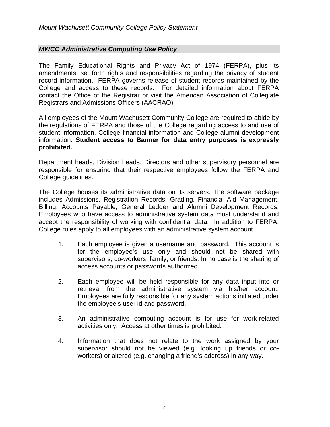#### *MWCC Administrative Computing Use Policy*

The Family Educational Rights and Privacy Act of 1974 (FERPA), plus its amendments, set forth rights and responsibilities regarding the privacy of student record information. FERPA governs release of student records maintained by the College and access to these records. For detailed information about FERPA contact the Office of the Registrar or visit the American Association of Collegiate Registrars and Admissions Officers (AACRAO).

All employees of the Mount Wachusett Community College are required to abide by the regulations of FERPA and those of the College regarding access to and use of student information, College financial information and College alumni development information. **Student access to Banner for data entry purposes is expressly prohibited.**

Department heads, Division heads, Directors and other supervisory personnel are responsible for ensuring that their respective employees follow the FERPA and College guidelines.

The College houses its administrative data on its servers. The software package includes Admissions, Registration Records, Grading, Financial Aid Management, Billing, Accounts Payable, General Ledger and Alumni Development Records. Employees who have access to administrative system data must understand and accept the responsibility of working with confidential data. In addition to FERPA, College rules apply to all employees with an administrative system account.

- 1. Each employee is given a username and password. This account is for the employee's use only and should not be shared with supervisors, co-workers, family, or friends. In no case is the sharing of access accounts or passwords authorized.
- 2. Each employee will be held responsible for any data input into or retrieval from the administrative system via his/her account. Employees are fully responsible for any system actions initiated under the employee's user id and password.
- 3. An administrative computing account is for use for work-related activities only. Access at other times is prohibited.
- 4. Information that does not relate to the work assigned by your supervisor should not be viewed (e.g. looking up friends or coworkers) or altered (e.g. changing a friend's address) in any way.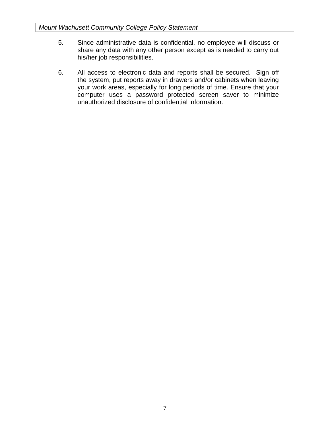- 5. Since administrative data is confidential, no employee will discuss or share any data with any other person except as is needed to carry out his/her job responsibilities.
- 6. All access to electronic data and reports shall be secured. Sign off the system, put reports away in drawers and/or cabinets when leaving your work areas, especially for long periods of time. Ensure that your computer uses a password protected screen saver to minimize unauthorized disclosure of confidential information.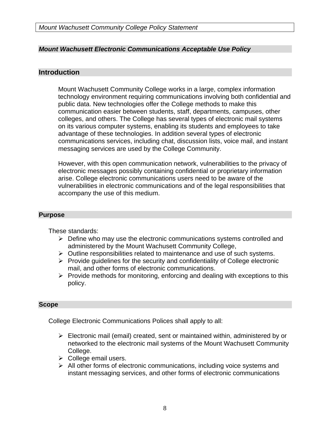#### *Mount Wachusett Electronic Communications Acceptable Use Policy*

#### **Introduction**

Mount Wachusett Community College works in a large, complex information technology environment requiring communications involving both confidential and public data. New technologies offer the College methods to make this communication easier between students, staff, departments, campuses, other colleges, and others. The College has several types of electronic mail systems on its various computer systems, enabling its students and employees to take advantage of these technologies. In addition several types of electronic communications services, including chat, discussion lists, voice mail, and instant messaging services are used by the College Community.

However, with this open communication network, vulnerabilities to the privacy of electronic messages possibly containing confidential or proprietary information arise. College electronic communications users need to be aware of the vulnerabilities in electronic communications and of the legal responsibilities that accompany the use of this medium.

#### **Purpose**

These standards:

- $\triangleright$  Define who may use the electronic communications systems controlled and administered by the Mount Wachusett Community College,
- $\triangleright$  Outline responsibilities related to maintenance and use of such systems.
- $\triangleright$  Provide guidelines for the security and confidentiality of College electronic mail, and other forms of electronic communications.
- $\triangleright$  Provide methods for monitoring, enforcing and dealing with exceptions to this policy.

#### **Scope**

College Electronic Communications Polices shall apply to all:

- $\triangleright$  Electronic mail (email) created, sent or maintained within, administered by or networked to the electronic mail systems of the Mount Wachusett Community College.
- $\triangleright$  College email users.
- $\triangleright$  All other forms of electronic communications, including voice systems and instant messaging services, and other forms of electronic communications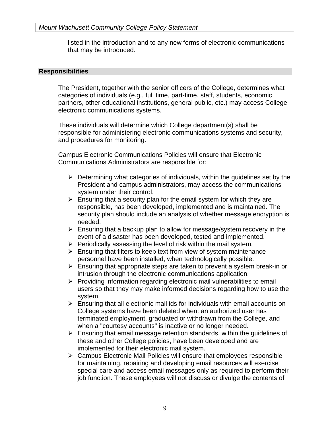listed in the introduction and to any new forms of electronic communications that may be introduced.

#### **Responsibilities**

The President, together with the senior officers of the College, determines what categories of individuals (e.g., full time, part-time, staff, students, economic partners, other educational institutions, general public, etc.) may access College electronic communications systems.

These individuals will determine which College department(s) shall be responsible for administering electronic communications systems and security, and procedures for monitoring.

Campus Electronic Communications Policies will ensure that Electronic Communications Administrators are responsible for:

- $\triangleright$  Determining what categories of individuals, within the guidelines set by the President and campus administrators, may access the communications system under their control.
- $\triangleright$  Ensuring that a security plan for the email system for which they are responsible, has been developed, implemented and is maintained. The security plan should include an analysis of whether message encryption is needed.
- $\triangleright$  Ensuring that a backup plan to allow for message/system recovery in the event of a disaster has been developed, tested and implemented.
- $\triangleright$  Periodically assessing the level of risk within the mail system.
- $\triangleright$  Ensuring that filters to keep text from view of system maintenance personnel have been installed, when technologically possible.
- $\triangleright$  Ensuring that appropriate steps are taken to prevent a system break-in or intrusion through the electronic communications application.
- $\triangleright$  Providing information regarding electronic mail vulnerabilities to email users so that they may make informed decisions regarding how to use the system.
- $\triangleright$  Ensuring that all electronic mail ids for individuals with email accounts on College systems have been deleted when: an authorized user has terminated employment, graduated or withdrawn from the College, and when a "courtesy accounts" is inactive or no longer needed.
- $\triangleright$  Ensuring that email message retention standards, within the quidelines of these and other College policies, have been developed and are implemented for their electronic mail system.
- $\triangleright$  Campus Electronic Mail Policies will ensure that employees responsible for maintaining, repairing and developing email resources will exercise special care and access email messages only as required to perform their job function. These employees will not discuss or divulge the contents of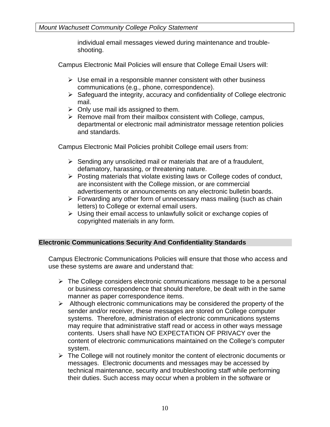individual email messages viewed during maintenance and troubleshooting.

Campus Electronic Mail Policies will ensure that College Email Users will:

- $\triangleright$  Use email in a responsible manner consistent with other business communications (e.g., phone, correspondence).
- $\triangleright$  Safeguard the integrity, accuracy and confidentiality of College electronic mail.
- $\triangleright$  Only use mail ids assigned to them.
- $\triangleright$  Remove mail from their mailbox consistent with College, campus, departmental or electronic mail administrator message retention policies and standards.

Campus Electronic Mail Policies prohibit College email users from:

- $\triangleright$  Sending any unsolicited mail or materials that are of a fraudulent, defamatory, harassing, or threatening nature.
- $\triangleright$  Posting materials that violate existing laws or College codes of conduct, are inconsistent with the College mission, or are commercial advertisements or announcements on any electronic bulletin boards.
- $\triangleright$  Forwarding any other form of unnecessary mass mailing (such as chain letters) to College or external email users.
- $\triangleright$  Using their email access to unlawfully solicit or exchange copies of copyrighted materials in any form.

#### **Electronic Communications Security And Confidentiality Standards**

Campus Electronic Communications Policies will ensure that those who access and use these systems are aware and understand that:

- $\triangleright$  The College considers electronic communications message to be a personal or business correspondence that should therefore, be dealt with in the same manner as paper correspondence items.
- $\triangleright$  Although electronic communications may be considered the property of the sender and/or receiver, these messages are stored on College computer systems. Therefore, administration of electronic communications systems may require that administrative staff read or access in other ways message contents. Users shall have NO EXPECTATION OF PRIVACY over the content of electronic communications maintained on the College's computer system.
- $\triangleright$  The College will not routinely monitor the content of electronic documents or messages. Electronic documents and messages may be accessed by technical maintenance, security and troubleshooting staff while performing their duties. Such access may occur when a problem in the software or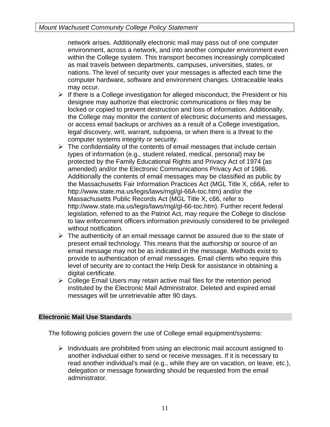network arises. Additionally electronic mail may pass out of one computer environment, across a network, and into another computer environment even within the College system. This transport becomes increasingly complicated as mail travels between departments, campuses, universities, states, or nations. The level of security over your messages is affected each time the computer hardware, software and environment changes. Untraceable leaks may occur.

- $\triangleright$  If there is a College investigation for alleged misconduct, the President or his designee may authorize that electronic communications or files may be locked or copied to prevent destruction and loss of information. Additionally, the College may monitor the content of electronic documents and messages, or access email backups or archives as a result of a College investigation, legal discovery, writ, warrant, subpoena, or when there is a threat to the computer systems integrity or security.
- $\triangleright$  The confidentiality of the contents of email messages that include certain types of information (e.g., student related, medical, personal) may be protected by the Family Educational Rights and Privacy Act of 1974 (as amended) and/or the Electronic Communications Privacy Act of 1986. Additionally the contents of email messages may be classified as public by the Massachusetts Fair Information Practices Act (MGL Title X, c66A, refer to http://www.state.ma.us/legis/laws/mgl/gl-66A-toc.htm) and/or the Massachusetts Public Records Act (MGL Title X, c66, refer to http://www.state.ma.us/legis/laws/mgl/gl-66-toc.htm). Further recent federal legislation, referred to as the Patriot Act, may require the College to disclose to law enforcement officers information previously considered to be privileged without notification.
- $\triangleright$  The authenticity of an email message cannot be assured due to the state of present email technology. This means that the authorship or source of an email message may not be as indicated in the message. Methods exist to provide to authentication of email messages. Email clients who require this level of security are to contact the Help Desk for assistance in obtaining a digital certificate.
- $\triangleright$  College Email Users may retain active mail files for the retention period instituted by the Electronic Mail Administrator. Deleted and expired email messages will be unretrievable after 90 days.

#### **Electronic Mail Use Standards**

The following policies govern the use of College email equipment/systems:

 $\triangleright$  Individuals are prohibited from using an electronic mail account assigned to another individual either to send or receive messages. If it is necessary to read another individual's mail (e.g., while they are on vacation, on leave, etc.), delegation or message forwarding should be requested from the email administrator.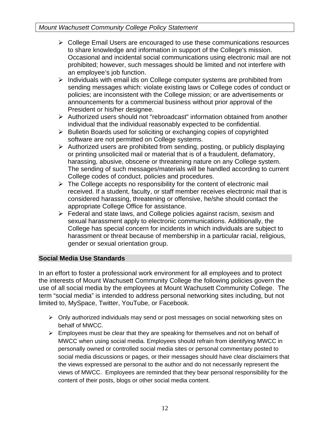- $\triangleright$  College Email Users are encouraged to use these communications resources to share knowledge and information in support of the College's mission. Occasional and incidental social communications using electronic mail are not prohibited; however, such messages should be limited and not interfere with an employee's job function.
- $\triangleright$  Individuals with email ids on College computer systems are prohibited from sending messages which: violate existing laws or College codes of conduct or policies; are inconsistent with the College mission; or are advertisements or announcements for a commercial business without prior approval of the President or his/her designee.
- Authorized users should not "rebroadcast" information obtained from another individual that the individual reasonably expected to be confidential.
- $\triangleright$  Bulletin Boards used for soliciting or exchanging copies of copyrighted software are not permitted on College systems.
- $\triangleright$  Authorized users are prohibited from sending, posting, or publicly displaying or printing unsolicited mail or material that is of a fraudulent, defamatory, harassing, abusive, obscene or threatening nature on any College system. The sending of such messages/materials will be handled according to current College codes of conduct, policies and procedures.
- $\triangleright$  The College accepts no responsibility for the content of electronic mail received. If a student, faculty, or staff member receives electronic mail that is considered harassing, threatening or offensive, he/she should contact the appropriate College Office for assistance.
- Federal and state laws, and College policies against racism, sexism and sexual harassment apply to electronic communications. Additionally, the College has special concern for incidents in which individuals are subject to harassment or threat because of membership in a particular racial, religious, gender or sexual orientation group.

### **Social Media Use Standards**

In an effort to foster a professional work environment for all employees and to protect the interests of Mount Wachusett Community College the following policies govern the use of all social media by the employees at Mount Wachusett Community College. The term "social media" is intended to address personal networking sites including, but not limited to, MySpace, Twitter, YouTube, or Facebook.

- Only authorized individuals may send or post messages on social networking sites on behalf of MWCC.
- $\triangleright$  Employees must be clear that they are speaking for themselves and not on behalf of MWCC when using social media. Employees should refrain from identifying MWCC in personally owned or controlled social media sites or personal commentary posted to social media discussions or pages, or their messages should have clear disclaimers that the views expressed are personal to the author and do not necessarily represent the views of MWCC. Employees are reminded that they bear personal responsibility for the content of their posts, blogs or other social media content.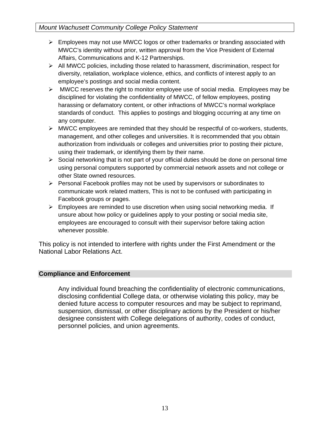#### *Mount Wachusett Community College Policy Statement*

- $\triangleright$  Employees may not use MWCC logos or other trademarks or branding associated with MWCC's identity without prior, written approval from the Vice President of External Affairs, Communications and K-12 Partnerships.
- $\triangleright$  All MWCC policies, including those related to harassment, discrimination, respect for diversity, retaliation, workplace violence, ethics, and conflicts of interest apply to an employee's postings and social media content.
- MWCC reserves the right to monitor employee use of social media. Employees may be disciplined for violating the confidentiality of MWCC, of fellow employees, posting harassing or defamatory content, or other infractions of MWCC's normal workplace standards of conduct. This applies to postings and blogging occurring at any time on any computer.
- $\triangleright$  MWCC employees are reminded that they should be respectful of co-workers, students, management, and other colleges and universities. It is recommended that you obtain authorization from individuals or colleges and universities prior to posting their picture, using their trademark, or identifying them by their name.
- $\triangleright$  Social networking that is not part of your official duties should be done on personal time using personal computers supported by commercial network assets and not college or other State owned resources.
- $\triangleright$  Personal Facebook profiles may not be used by supervisors or subordinates to communicate work related matters, This is not to be confused with participating in Facebook groups or pages.
- $\triangleright$  Employees are reminded to use discretion when using social networking media. If unsure about how policy or guidelines apply to your posting or social media site, employees are encouraged to consult with their supervisor before taking action whenever possible.

This policy is not intended to interfere with rights under the First Amendment or the National Labor Relations Act.

#### **Compliance and Enforcement**

Any individual found breaching the confidentiality of electronic communications, disclosing confidential College data, or otherwise violating this policy, may be denied future access to computer resources and may be subject to reprimand, suspension, dismissal, or other disciplinary actions by the President or his/her designee consistent with College delegations of authority, codes of conduct, personnel policies, and union agreements.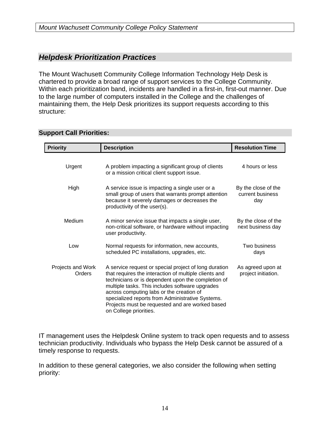# *Helpdesk Prioritization Practices*

The Mount Wachusett Community College Information Technology Help Desk is chartered to provide a broad range of support services to the College Community. Within each prioritization band, incidents are handled in a first-in, first-out manner. Due to the large number of computers installed in the College and the challenges of maintaining them, the Help Desk prioritizes its support requests according to this structure:

#### **Support Call Priorities:**

| <b>Priority</b>             | <b>Description</b>                                                                                                                                                                                                                                                                                                                                                                                   | <b>Resolution Time</b>                         |
|-----------------------------|------------------------------------------------------------------------------------------------------------------------------------------------------------------------------------------------------------------------------------------------------------------------------------------------------------------------------------------------------------------------------------------------------|------------------------------------------------|
| Urgent                      | A problem impacting a significant group of clients<br>or a mission critical client support issue.                                                                                                                                                                                                                                                                                                    | 4 hours or less                                |
| High                        | A service issue is impacting a single user or a<br>small group of users that warrants prompt attention<br>because it severely damages or decreases the<br>productivity of the user(s).                                                                                                                                                                                                               | By the close of the<br>current business<br>day |
| Medium                      | A minor service issue that impacts a single user,<br>non-critical software, or hardware without impacting<br>user productivity.                                                                                                                                                                                                                                                                      | By the close of the<br>next business day       |
| Low                         | Normal requests for information, new accounts,<br>scheduled PC installations, upgrades, etc.                                                                                                                                                                                                                                                                                                         | Two business<br>days                           |
| Projects and Work<br>Orders | A service request or special project of long duration<br>that requires the interaction of multiple clients and<br>technicians or is dependent upon the completion of<br>multiple tasks. This includes software upgrades<br>across computing labs or the creation of<br>specialized reports from Administrative Systems.<br>Projects must be requested and are worked based<br>on College priorities. | As agreed upon at<br>project initiation.       |

IT management uses the Helpdesk Online system to track open requests and to assess technician productivity. Individuals who bypass the Help Desk cannot be assured of a timely response to requests.

In addition to these general categories, we also consider the following when setting priority: